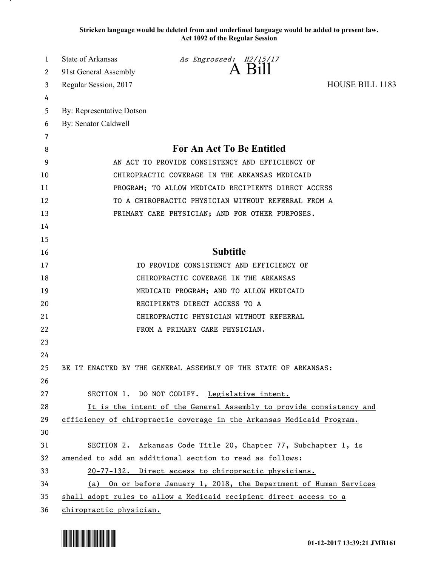**Stricken language would be deleted from and underlined language would be added to present law. Act 1092 of the Regular Session**

| 1        | State of Arkansas<br>As Engrossed: H2/15/17<br>A Bill                 |
|----------|-----------------------------------------------------------------------|
| 2        | 91st General Assembly                                                 |
| 3        | HOUSE BILL 1183<br>Regular Session, 2017                              |
| 4        |                                                                       |
| 5        | By: Representative Dotson                                             |
| 6        | By: Senator Caldwell                                                  |
| 7        |                                                                       |
| 8        | For An Act To Be Entitled                                             |
| 9        | AN ACT TO PROVIDE CONSISTENCY AND EFFICIENCY OF                       |
| 10       | CHIROPRACTIC COVERAGE IN THE ARKANSAS MEDICAID                        |
| 11       | PROGRAM; TO ALLOW MEDICAID RECIPIENTS DIRECT ACCESS                   |
| 12       | TO A CHIROPRACTIC PHYSICIAN WITHOUT REFERRAL FROM A                   |
| 13       | PRIMARY CARE PHYSICIAN; AND FOR OTHER PURPOSES.                       |
| 14       |                                                                       |
| 15       | <b>Subtitle</b>                                                       |
| 16<br>17 | TO PROVIDE CONSISTENCY AND EFFICIENCY OF                              |
| 18       | CHIROPRACTIC COVERAGE IN THE ARKANSAS                                 |
| 19       | MEDICAID PROGRAM; AND TO ALLOW MEDICAID                               |
| 20       | RECIPIENTS DIRECT ACCESS TO A                                         |
| 21       | CHIROPRACTIC PHYSICIAN WITHOUT REFERRAL                               |
| 22       | FROM A PRIMARY CARE PHYSICIAN.                                        |
| 23       |                                                                       |
| 24       |                                                                       |
| 25       | BE IT ENACTED BY THE GENERAL ASSEMBLY OF THE STATE OF ARKANSAS:       |
| 26       |                                                                       |
| 27       | SECTION 1. DO NOT CODIFY. Legislative intent.                         |
| 28       | It is the intent of the General Assembly to provide consistency and   |
| 29       | efficiency of chiropractic coverage in the Arkansas Medicaid Program. |
| 30       |                                                                       |
| 31       | SECTION 2. Arkansas Code Title 20, Chapter 77, Subchapter 1, is       |
| 32       | amended to add an additional section to read as follows:              |
| 33       | 20-77-132. Direct access to chiropractic physicians.                  |
| 34       | On or before January 1, 2018, the Department of Human Services<br>(a) |
| 35       | shall adopt rules to allow a Medicaid recipient direct access to a    |
| 36       | chiropractic physician.                                               |